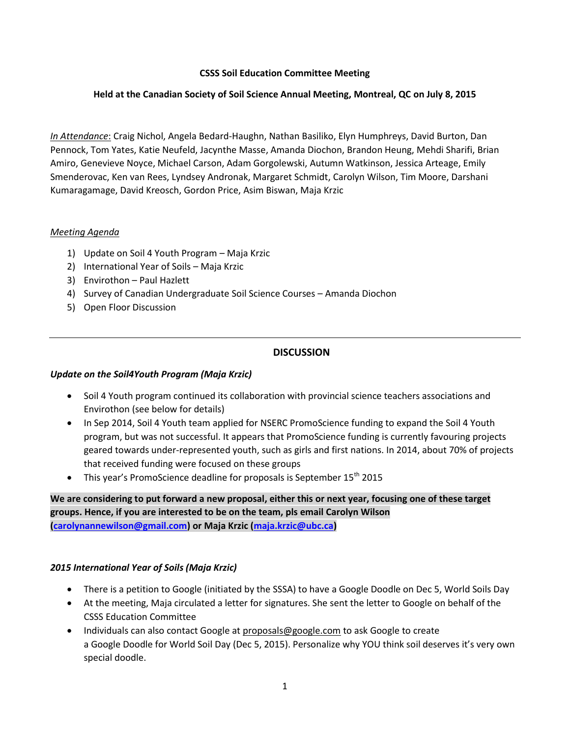### **CSSS Soil Education Committee Meeting**

### **Held at the Canadian Society of Soil Science Annual Meeting, Montreal, QC on July 8, 2015**

*In Attendance*: Craig Nichol, Angela Bedard-Haughn, Nathan Basiliko, Elyn Humphreys, David Burton, Dan Pennock, Tom Yates, Katie Neufeld, Jacynthe Masse, Amanda Diochon, Brandon Heung, Mehdi Sharifi, Brian Amiro, Genevieve Noyce, Michael Carson, Adam Gorgolewski, Autumn Watkinson, Jessica Arteage, Emily Smenderovac, Ken van Rees, Lyndsey Andronak, Margaret Schmidt, Carolyn Wilson, Tim Moore, Darshani Kumaragamage, David Kreosch, Gordon Price, Asim Biswan, Maja Krzic

### *Meeting Agenda*

- 1) Update on Soil 4 Youth Program Maja Krzic
- 2) International Year of Soils Maja Krzic
- 3) Envirothon Paul Hazlett
- 4) Survey of Canadian Undergraduate Soil Science Courses Amanda Diochon
- 5) Open Floor Discussion

# **DISCUSSION**

#### *Update on the Soil4Youth Program (Maja Krzic)*

- Soil 4 Youth program continued its collaboration with provincial science teachers associations and Envirothon (see below for details)
- In Sep 2014, Soil 4 Youth team applied for NSERC PromoScience funding to expand the Soil 4 Youth program, but was not successful. It appears that PromoScience funding is currently favouring projects geared towards under-represented youth, such as girls and first nations. In 2014, about 70% of projects that received funding were focused on these groups
- This year's PromoScience deadline for proposals is September  $15<sup>th</sup>$  2015

**We are considering to put forward a new proposal, either this or next year, focusing one of these target groups. Hence, if you are interested to be on the team, pls email Carolyn Wilson [\(carolynannewilson@gmail.com\)](mailto:carolynannewilson@gmail.com) or Maja Krzic [\(maja.krzic@ubc.ca\)](mailto:maja.krzic@ubc.ca)**

# *2015 International Year of Soils (Maja Krzic)*

- There is a petition to Google (initiated by the SSSA) to have a Google Doodle on Dec 5, World Soils Day
- At the meeting, Maja circulated a letter for signatures. She sent the letter to Google on behalf of the CSSS Education Committee
- Individuals can also contact Google at [proposals@google.com](mailto:proposals@google.com) to ask Google to create a Google Doodle for World Soil Day (Dec 5, 2015). Personalize why YOU think soil deserves it's very own special doodle.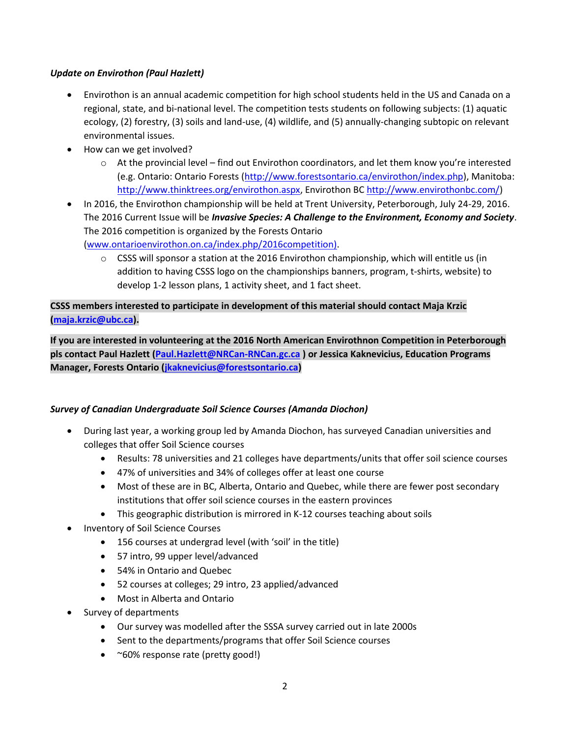### *Update on Envirothon (Paul Hazlett)*

- Envirothon is an annual academic competition for high school students held in the US and Canada on a regional, state, and bi-national level. The competition tests students on following subjects: (1) aquatic ecology, (2) forestry, (3) soils and land-use, (4) wildlife, and (5) annually-changing subtopic on relevant environmental issues.
- How can we get involved?
	- o At the provincial level find out Envirothon coordinators, and let them know you're interested (e.g. Ontario: Ontario Forests [\(http://www.forestsontario.ca/envirothon/index.php\)](http://www.forestsontario.ca/envirothon/index.php), Manitoba: [http://www.thinktrees.org/envirothon.aspx,](http://www.thinktrees.org/envirothon.aspx) Envirothon BC [http://www.envirothonbc.com/\)](http://www.envirothonbc.com/)
- In 2016, the Envirothon championship will be held at Trent University, Peterborough, July 24-29, 2016. The 2016 Current Issue will be *Invasive Species: A Challenge to the Environment, Economy and Society*. The 2016 competition is organized by the Forests Ontario

[\(www.ontarioenvirothon.on.ca/index.php/2016competition\)](http://www.ontarioenvirothon.on.ca/index.php/2016competition).

 $\circ$  CSSS will sponsor a station at the 2016 Envirothon championship, which will entitle us (in addition to having CSSS logo on the championships banners, program, t-shirts, website) to develop 1-2 lesson plans, 1 activity sheet, and 1 fact sheet.

# **CSSS members interested to participate in development of this material should contact Maja Krzic [\(maja.krzic@ubc.ca\)](mailto:maja.krzic@ubc.ca).**

**If you are interested in volunteering at the 2016 North American Envirothnon Competition in Peterborough pls contact Paul Hazlett [\(Paul.Hazlett@NRCan-RNCan.gc.ca](mailto:Paul.Hazlett@NRCan-RNCan.gc.ca) ) or Jessica Kaknevicius, Education Programs Manager, Forests Ontario [\(jkaknevicius@forestsontario.ca\)](mailto:jkaknevicius@forestsontario.ca)**

# *Survey of Canadian Undergraduate Soil Science Courses (Amanda Diochon)*

- During last year, a working group led by Amanda Diochon, has surveyed Canadian universities and colleges that offer Soil Science courses
	- Results: 78 universities and 21 colleges have departments/units that offer soil science courses
	- 47% of universities and 34% of colleges offer at least one course
	- Most of these are in BC, Alberta, Ontario and Quebec, while there are fewer post secondary institutions that offer soil science courses in the eastern provinces
	- This geographic distribution is mirrored in K-12 courses teaching about soils
- Inventory of Soil Science Courses
	- 156 courses at undergrad level (with 'soil' in the title)
	- 57 intro, 99 upper level/advanced
	- 54% in Ontario and Quebec
	- 52 courses at colleges; 29 intro, 23 applied/advanced
	- Most in Alberta and Ontario
- Survey of departments
	- Our survey was modelled after the SSSA survey carried out in late 2000s
	- Sent to the departments/programs that offer Soil Science courses
	- ~60% response rate (pretty good!)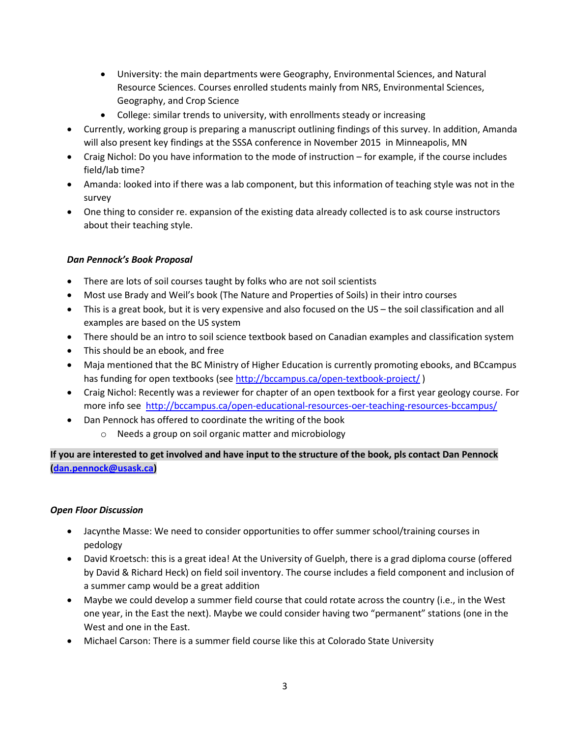- University: the main departments were Geography, Environmental Sciences, and Natural Resource Sciences. Courses enrolled students mainly from NRS, Environmental Sciences, Geography, and Crop Science
- College: similar trends to university, with enrollments steady or increasing
- Currently, working group is preparing a manuscript outlining findings of this survey. In addition, Amanda will also present key findings at the SSSA conference in November 2015 in Minneapolis, MN
- Craig Nichol: Do you have information to the mode of instruction for example, if the course includes field/lab time?
- Amanda: looked into if there was a lab component, but this information of teaching style was not in the survey
- One thing to consider re. expansion of the existing data already collected is to ask course instructors about their teaching style.

# *Dan Pennock's Book Proposal*

- There are lots of soil courses taught by folks who are not soil scientists
- Most use Brady and Weil's book (The Nature and Properties of Soils) in their intro courses
- This is a great book, but it is very expensive and also focused on the US the soil classification and all examples are based on the US system
- There should be an intro to soil science textbook based on Canadian examples and classification system
- This should be an ebook, and free
- Maja mentioned that the BC Ministry of Higher Education is currently promoting ebooks, and BCcampus has funding for open textbooks (see<http://bccampus.ca/open-textbook-project/> )
- Craig Nichol: Recently was a reviewer for chapter of an open textbook for a first year geology course. For more info see<http://bccampus.ca/open-educational-resources-oer-teaching-resources-bccampus/>
- Dan Pennock has offered to coordinate the writing of the book
	- o Needs a group on soil organic matter and microbiology

**If you are interested to get involved and have input to the structure of the book, pls contact Dan Pennock [\(dan.pennock@usask.ca\)](mailto:dan.pennock@usask.ca)**

# *Open Floor Discussion*

- Jacynthe Masse: We need to consider opportunities to offer summer school/training courses in pedology
- David Kroetsch: this is a great idea! At the University of Guelph, there is a grad diploma course (offered by David & Richard Heck) on field soil inventory. The course includes a field component and inclusion of a summer camp would be a great addition
- Maybe we could develop a summer field course that could rotate across the country (i.e., in the West one year, in the East the next). Maybe we could consider having two "permanent" stations (one in the West and one in the East.
- Michael Carson: There is a summer field course like this at Colorado State University